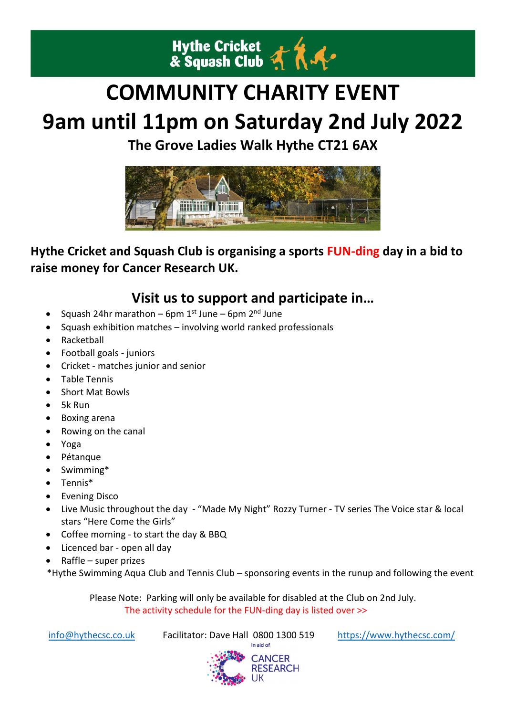

# **COMMUNITY CHARITY EVENT**

# **9am until 11pm on Saturday 2nd July 2022**

**The Grove Ladies Walk Hythe CT21 6AX**



## **Hythe Cricket and Squash Club is organising a sports FUN-ding day in a bid to raise money for Cancer Research UK.**

# **Visit us to support and participate in…**

- Squash 24hr marathon 6pm  $1^{st}$  June 6pm  $2^{nd}$  June
- Squash exhibition matches involving world ranked professionals
- Racketball
- Football goals juniors
- Cricket matches junior and senior
- Table Tennis
- Short Mat Bowls
- 5k Run
- Boxing arena
- Rowing on the canal
- Yoga
- Pétanque
- Swimming\*
- Tennis\*
- Evening Disco
- Live Music throughout the day "Made My Night" Rozzy Turner TV series The Voice star & local stars "Here Come the Girls"
- Coffee morning to start the day & BBQ
- Licenced bar open all day
- Raffle super prizes

\*Hythe Swimming Aqua Club and Tennis Club – sponsoring events in the runup and following the event

Please Note: Parking will only be available for disabled at the Club on 2nd July. The activity schedule for the FUN-ding day is listed over >>

[info@hythecsc.co.uk](mailto:info@hythecsc.co.uk) Facilitator: Dave Hall 0800 1300 519 https://www.hythecsc.com/